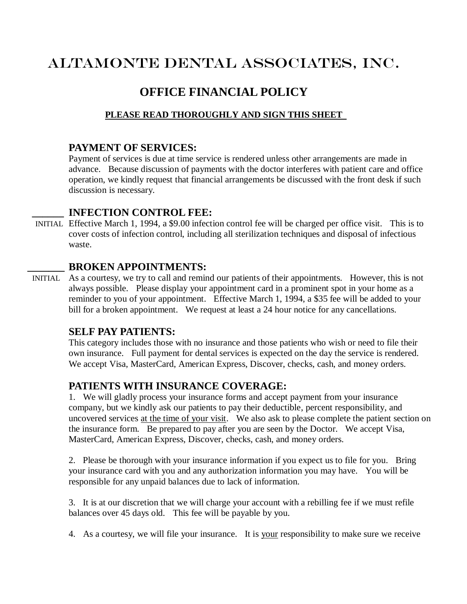# ALTAMONTE DENTAL ASSOCIATES, INC.

## **OFFICE FINANCIAL POLICY**

#### **PLEASE READ THOROUGHLY AND SIGN THIS SHEET**

#### **PAYMENT OF SERVICES:**

Payment of services is due at time service is rendered unless other arrangements are made in advance. Because discussion of payments with the doctor interferes with patient care and office operation, we kindly request that financial arrangements be discussed with the front desk if such discussion is necessary.

#### **\_\_\_\_\_\_ INFECTION CONTROL FEE:**

 INITIAL Effective March 1, 1994, a \$9.00 infection control fee will be charged per office visit. This is to cover costs of infection control, including all sterilization techniques and disposal of infectious waste.

#### **\_\_\_\_\_\_\_ BROKEN APPOINTMENTS:**

 INITIAL As a courtesy, we try to call and remind our patients of their appointments. However, this is not always possible. Please display your appointment card in a prominent spot in your home as a reminder to you of your appointment. Effective March 1, 1994, a \$35 fee will be added to your bill for a broken appointment. We request at least a 24 hour notice for any cancellations.

#### **SELF PAY PATIENTS:**

This category includes those with no insurance and those patients who wish or need to file their own insurance. Full payment for dental services is expected on the day the service is rendered. We accept Visa, MasterCard, American Express, Discover, checks, cash, and money orders.

### **PATIENTS WITH INSURANCE COVERAGE:**

1. We will gladly process your insurance forms and accept payment from your insurance company, but we kindly ask our patients to pay their deductible, percent responsibility, and uncovered services at the time of your visit. We also ask to please complete the patient section on the insurance form. Be prepared to pay after you are seen by the Doctor. We accept Visa, MasterCard, American Express, Discover, checks, cash, and money orders.

2. Please be thorough with your insurance information if you expect us to file for you. Bring your insurance card with you and any authorization information you may have. You will be responsible for any unpaid balances due to lack of information.

3. It is at our discretion that we will charge your account with a rebilling fee if we must refile balances over 45 days old. This fee will be payable by you.

4. As a courtesy, we will file your insurance. It is your responsibility to make sure we receive